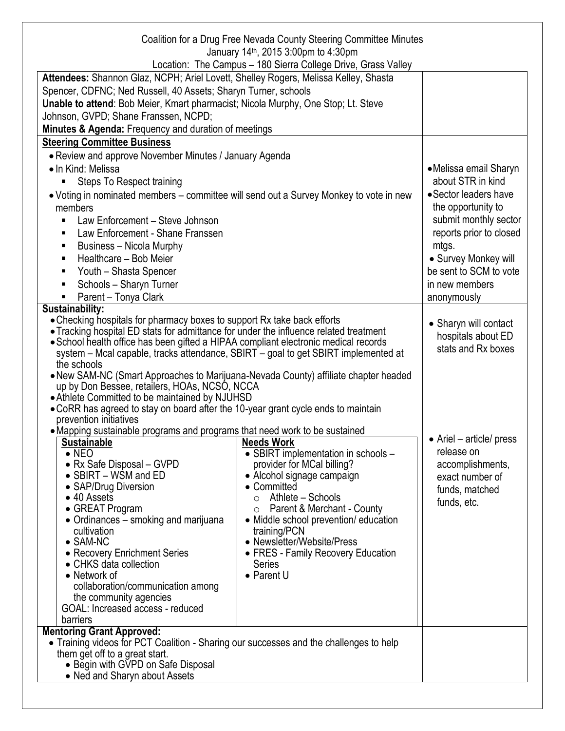|                                                                                                 | Coalition for a Drug Free Nevada County Steering Committee Minutes<br>January 14 <sup>th</sup> , 2015 3:00pm to 4:30pm |                          |  |
|-------------------------------------------------------------------------------------------------|------------------------------------------------------------------------------------------------------------------------|--------------------------|--|
|                                                                                                 | Location: The Campus - 180 Sierra College Drive, Grass Valley                                                          |                          |  |
| Attendees: Shannon Glaz, NCPH; Ariel Lovett, Shelley Rogers, Melissa Kelley, Shasta             |                                                                                                                        |                          |  |
| Spencer, CDFNC; Ned Russell, 40 Assets; Sharyn Turner, schools                                  |                                                                                                                        |                          |  |
| Unable to attend: Bob Meier, Kmart pharmacist; Nicola Murphy, One Stop; Lt. Steve               |                                                                                                                        |                          |  |
| Johnson, GVPD; Shane Franssen, NCPD;                                                            |                                                                                                                        |                          |  |
| Minutes & Agenda: Frequency and duration of meetings                                            |                                                                                                                        |                          |  |
| <b>Steering Committee Business</b>                                                              |                                                                                                                        |                          |  |
| • Review and approve November Minutes / January Agenda                                          |                                                                                                                        |                          |  |
| • In Kind: Melissa                                                                              |                                                                                                                        | •Melissa email Sharyn    |  |
| Steps To Respect training                                                                       |                                                                                                                        | about STR in kind        |  |
| • Voting in nominated members – committee will send out a Survey Monkey to vote in new          |                                                                                                                        | • Sector leaders have    |  |
| members                                                                                         |                                                                                                                        | the opportunity to       |  |
| Law Enforcement - Steve Johnson                                                                 |                                                                                                                        | submit monthly sector    |  |
|                                                                                                 |                                                                                                                        | reports prior to closed  |  |
| Law Enforcement - Shane Franssen                                                                |                                                                                                                        | mtgs.                    |  |
| <b>Business - Nicola Murphy</b><br>Healthcare - Bob Meier<br>٠                                  |                                                                                                                        | • Survey Monkey will     |  |
|                                                                                                 |                                                                                                                        | be sent to SCM to vote   |  |
| Youth - Shasta Spencer<br>Schools - Sharyn Turner                                               |                                                                                                                        | in new members           |  |
| Parent - Tonya Clark                                                                            |                                                                                                                        |                          |  |
| <b>Sustainability:</b>                                                                          |                                                                                                                        | anonymously              |  |
| • Checking hospitals for pharmacy boxes to support Rx take back efforts                         |                                                                                                                        |                          |  |
| • Tracking hospital ED stats for admittance for under the influence related treatment           |                                                                                                                        | • Sharyn will contact    |  |
| • School health office has been gifted a HIPAA compliant electronic medical records             |                                                                                                                        | hospitals about ED       |  |
| system – Mcal capable, tracks attendance, SBIRT – goal to get SBIRT implemented at              |                                                                                                                        | stats and Rx boxes       |  |
| the schools                                                                                     |                                                                                                                        |                          |  |
| • New SAM-NC (Smart Approaches to Marijuana-Nevada County) affiliate chapter headed             |                                                                                                                        |                          |  |
| up by Don Bessee, retailers, HOAs, NCSO, NCCA<br>• Athlete Committed to be maintained by NJUHSD |                                                                                                                        |                          |  |
| . CoRR has agreed to stay on board after the 10-year grant cycle ends to maintain               |                                                                                                                        |                          |  |
| prevention initiatives                                                                          |                                                                                                                        |                          |  |
| • Mapping sustainable programs and programs that need work to be sustained                      |                                                                                                                        |                          |  |
| <b>Sustainable</b>                                                                              | Needs Work                                                                                                             | • Ariel - article/ press |  |
| $\bullet$ NEO                                                                                   | • SBIRT implementation in schools -                                                                                    | release on               |  |
| • Rx Safe Disposal – GVPD<br>$\bullet$ SBIRT – WSM and ED                                       | provider for MCal billing?                                                                                             | accomplishments,         |  |
| • SAP/Drug Diversion                                                                            | • Alcohol signage campaign<br>Committed                                                                                | exact number of          |  |
| • 40 Assets                                                                                     | Athlete - Schools<br>O                                                                                                 | funds, matched           |  |
| • GREAT Program                                                                                 | Parent & Merchant - County<br>O                                                                                        | funds, etc.              |  |
| • Ordinances - smoking and marijuana                                                            | • Middle school prevention/ education                                                                                  |                          |  |
| cultivation                                                                                     | training/PCN                                                                                                           |                          |  |
| $\bullet$ SAM-NC                                                                                | • Newsletter/Website/Press                                                                                             |                          |  |
| • Recovery Enrichment Series<br>• CHKS data collection                                          | • FRES - Family Recovery Education                                                                                     |                          |  |
| • Network of                                                                                    | Series<br>• Parent U                                                                                                   |                          |  |
| collaboration/communication among                                                               |                                                                                                                        |                          |  |
| the community agencies                                                                          |                                                                                                                        |                          |  |
| GOAL: Increased access - reduced                                                                |                                                                                                                        |                          |  |
| barriers                                                                                        |                                                                                                                        |                          |  |
| <b>Mentoring Grant Approved:</b>                                                                |                                                                                                                        |                          |  |
| Training videos for PCT Coalition - Sharing our successes and the challenges to help            |                                                                                                                        |                          |  |
| them get off to a great start.<br>• Begin with GVPD on Safe Disposal                            |                                                                                                                        |                          |  |
| • Ned and Sharyn about Assets                                                                   |                                                                                                                        |                          |  |
|                                                                                                 |                                                                                                                        |                          |  |